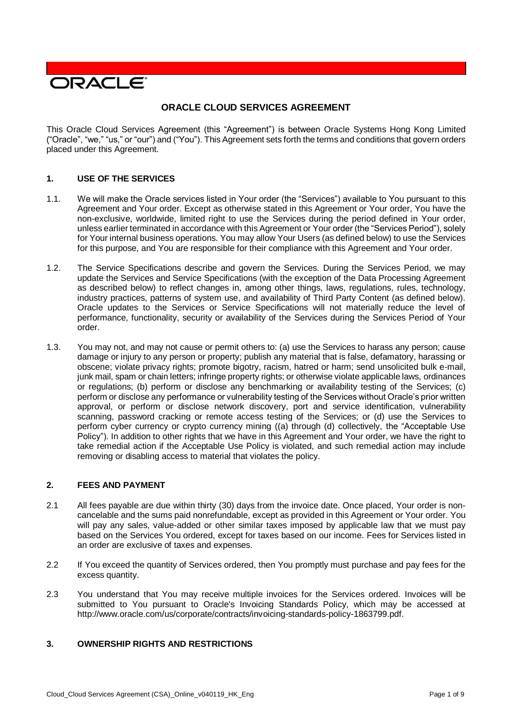

# **ORACLE CLOUD SERVICES AGREEMENT**

This Oracle Cloud Services Agreement (this "Agreement") is between Oracle Systems Hong Kong Limited ("Oracle", "we," "us," or "our") and ("You"). This Agreement sets forth the terms and conditions that govern orders placed under this Agreement.

## **1. USE OF THE SERVICES**

- 1.1. We will make the Oracle services listed in Your order (the "Services") available to You pursuant to this Agreement and Your order. Except as otherwise stated in this Agreement or Your order, You have the non-exclusive, worldwide, limited right to use the Services during the period defined in Your order, unless earlier terminated in accordance with this Agreement or Your order (the "Services Period"), solely for Your internal business operations. You may allow Your Users (as defined below) to use the Services for this purpose, and You are responsible for their compliance with this Agreement and Your order.
- 1.2. The Service Specifications describe and govern the Services. During the Services Period, we may update the Services and Service Specifications (with the exception of the Data Processing Agreement as described below) to reflect changes in, among other things, laws, regulations, rules, technology, industry practices, patterns of system use, and availability of Third Party Content (as defined below). Oracle updates to the Services or Service Specifications will not materially reduce the level of performance, functionality, security or availability of the Services during the Services Period of Your order.
- 1.3. You may not, and may not cause or permit others to: (a) use the Services to harass any person; cause damage or injury to any person or property; publish any material that is false, defamatory, harassing or obscene; violate privacy rights; promote bigotry, racism, hatred or harm; send unsolicited bulk e-mail, junk mail, spam or chain letters; infringe property rights; or otherwise violate applicable laws, ordinances or regulations; (b) perform or disclose any benchmarking or availability testing of the Services; (c) perform or disclose any performance or vulnerability testing of the Services without Oracle's prior written approval, or perform or disclose network discovery, port and service identification, vulnerability scanning, password cracking or remote access testing of the Services; or (d) use the Services to perform cyber currency or crypto currency mining ((a) through (d) collectively, the "Acceptable Use Policy"). In addition to other rights that we have in this Agreement and Your order, we have the right to take remedial action if the Acceptable Use Policy is violated, and such remedial action may include removing or disabling access to material that violates the policy.

#### **2. FEES AND PAYMENT**

- 2.1 All fees payable are due within thirty (30) days from the invoice date. Once placed, Your order is noncancelable and the sums paid nonrefundable, except as provided in this Agreement or Your order. You will pay any sales, value-added or other similar taxes imposed by applicable law that we must pay based on the Services You ordered, except for taxes based on our income. Fees for Services listed in an order are exclusive of taxes and expenses.
- 2.2 If You exceed the quantity of Services ordered, then You promptly must purchase and pay fees for the excess quantity.
- 2.3 You understand that You may receive multiple invoices for the Services ordered. Invoices will be submitted to You pursuant to Oracle's Invoicing Standards Policy, which may be accessed at [http://www.oracle.com/us/corporate/contracts/invoicing-standards-policy-1863799.pdf.](http://www.oracle.com/us/corporate/contracts/invoicing-standards-policy-1863799.pdf)

## **3. OWNERSHIP RIGHTS AND RESTRICTIONS**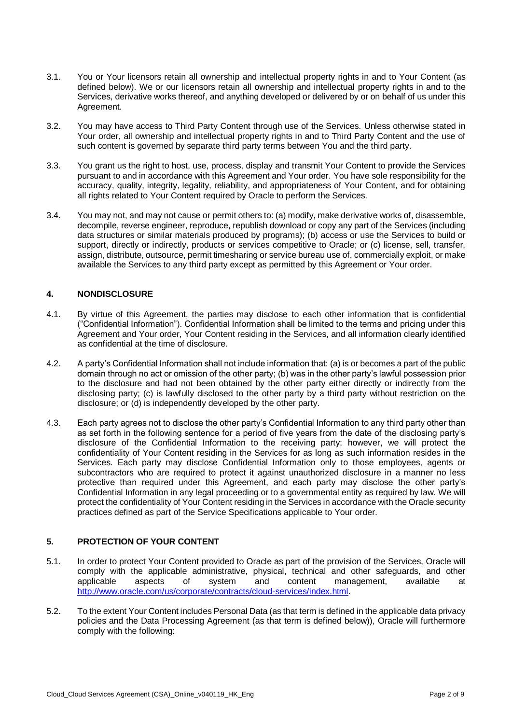- 3.1. You or Your licensors retain all ownership and intellectual property rights in and to Your Content (as defined below). We or our licensors retain all ownership and intellectual property rights in and to the Services, derivative works thereof, and anything developed or delivered by or on behalf of us under this Agreement.
- 3.2. You may have access to Third Party Content through use of the Services. Unless otherwise stated in Your order, all ownership and intellectual property rights in and to Third Party Content and the use of such content is governed by separate third party terms between You and the third party.
- 3.3. You grant us the right to host, use, process, display and transmit Your Content to provide the Services pursuant to and in accordance with this Agreement and Your order. You have sole responsibility for the accuracy, quality, integrity, legality, reliability, and appropriateness of Your Content, and for obtaining all rights related to Your Content required by Oracle to perform the Services.
- 3.4. You may not, and may not cause or permit others to: (a) modify, make derivative works of, disassemble, decompile, reverse engineer, reproduce, republish download or copy any part of the Services (including data structures or similar materials produced by programs); (b) access or use the Services to build or support, directly or indirectly, products or services competitive to Oracle; or (c) license, sell, transfer, assign, distribute, outsource, permit timesharing or service bureau use of, commercially exploit, or make available the Services to any third party except as permitted by this Agreement or Your order.

## **4. NONDISCLOSURE**

- 4.1. By virtue of this Agreement, the parties may disclose to each other information that is confidential ("Confidential Information"). Confidential Information shall be limited to the terms and pricing under this Agreement and Your order, Your Content residing in the Services, and all information clearly identified as confidential at the time of disclosure.
- 4.2. A party's Confidential Information shall not include information that: (a) is or becomes a part of the public domain through no act or omission of the other party; (b) was in the other party's lawful possession prior to the disclosure and had not been obtained by the other party either directly or indirectly from the disclosing party; (c) is lawfully disclosed to the other party by a third party without restriction on the disclosure; or (d) is independently developed by the other party.
- 4.3. Each party agrees not to disclose the other party's Confidential Information to any third party other than as set forth in the following sentence for a period of five years from the date of the disclosing party's disclosure of the Confidential Information to the receiving party; however, we will protect the confidentiality of Your Content residing in the Services for as long as such information resides in the Services. Each party may disclose Confidential Information only to those employees, agents or subcontractors who are required to protect it against unauthorized disclosure in a manner no less protective than required under this Agreement, and each party may disclose the other party's Confidential Information in any legal proceeding or to a governmental entity as required by law. We will protect the confidentiality of Your Content residing in the Services in accordance with the Oracle security practices defined as part of the Service Specifications applicable to Your order.

# **5. PROTECTION OF YOUR CONTENT**

- 5.1. In order to protect Your Content provided to Oracle as part of the provision of the Services, Oracle will comply with the applicable administrative, physical, technical and other safeguards, and other applicable at applicable at a spects of system and content management. available at applicable aspects of system and content management, available at [http://www.oracle.com/us/corporate/contracts/cloud-services/index.html.](http://www.oracle.com/us/corporate/contracts/cloud-services/index.html)
- 5.2. To the extent Your Content includes Personal Data (as that term is defined in the applicable data privacy policies and the Data Processing Agreement (as that term is defined below)), Oracle will furthermore comply with the following: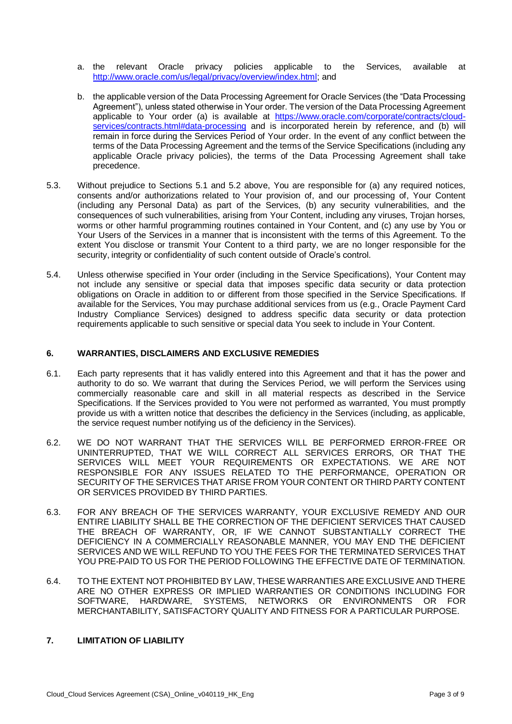- a. the relevant Oracle privacy policies applicable to the Services, available at [http://www.oracle.com/us/legal/privacy/overview/index.html;](http://www.oracle.com/us/legal/privacy/overview/index.html) and
- b. the applicable version of the Data Processing Agreement for Oracle Services (the "Data Processing Agreement"), unless stated otherwise in Your order. The version of the Data Processing Agreement applicable to Your order (a) is available at [https://www.oracle.com/corporate/contracts/cloud](https://www.oracle.com/corporate/contracts/cloud-services/contracts.html#data-processing)[services/contracts.html#data-processing](https://www.oracle.com/corporate/contracts/cloud-services/contracts.html#data-processing) and is incorporated herein by reference, and (b) will remain in force during the Services Period of Your order. In the event of any conflict between the terms of the Data Processing Agreement and the terms of the Service Specifications (including any applicable Oracle privacy policies), the terms of the Data Processing Agreement shall take precedence.
- 5.3. Without prejudice to Sections 5.1 and 5.2 above, You are responsible for (a) any required notices, consents and/or authorizations related to Your provision of, and our processing of, Your Content (including any Personal Data) as part of the Services, (b) any security vulnerabilities, and the consequences of such vulnerabilities, arising from Your Content, including any viruses, Trojan horses, worms or other harmful programming routines contained in Your Content, and (c) any use by You or Your Users of the Services in a manner that is inconsistent with the terms of this Agreement. To the extent You disclose or transmit Your Content to a third party, we are no longer responsible for the security, integrity or confidentiality of such content outside of Oracle's control.
- 5.4. Unless otherwise specified in Your order (including in the Service Specifications), Your Content may not include any sensitive or special data that imposes specific data security or data protection obligations on Oracle in addition to or different from those specified in the Service Specifications. If available for the Services, You may purchase additional services from us (e.g., Oracle Payment Card Industry Compliance Services) designed to address specific data security or data protection requirements applicable to such sensitive or special data You seek to include in Your Content.

#### **6. WARRANTIES, DISCLAIMERS AND EXCLUSIVE REMEDIES**

- 6.1. Each party represents that it has validly entered into this Agreement and that it has the power and authority to do so. We warrant that during the Services Period, we will perform the Services using commercially reasonable care and skill in all material respects as described in the Service Specifications. If the Services provided to You were not performed as warranted, You must promptly provide us with a written notice that describes the deficiency in the Services (including, as applicable, the service request number notifying us of the deficiency in the Services).
- 6.2. WE DO NOT WARRANT THAT THE SERVICES WILL BE PERFORMED ERROR-FREE OR UNINTERRUPTED, THAT WE WILL CORRECT ALL SERVICES ERRORS, OR THAT THE SERVICES WILL MEET YOUR REQUIREMENTS OR EXPECTATIONS. WE ARE NOT RESPONSIBLE FOR ANY ISSUES RELATED TO THE PERFORMANCE, OPERATION OR SECURITY OF THE SERVICES THAT ARISE FROM YOUR CONTENT OR THIRD PARTY CONTENT OR SERVICES PROVIDED BY THIRD PARTIES.
- 6.3. FOR ANY BREACH OF THE SERVICES WARRANTY, YOUR EXCLUSIVE REMEDY AND OUR ENTIRE LIABILITY SHALL BE THE CORRECTION OF THE DEFICIENT SERVICES THAT CAUSED THE BREACH OF WARRANTY, OR, IF WE CANNOT SUBSTANTIALLY CORRECT THE DEFICIENCY IN A COMMERCIALLY REASONABLE MANNER, YOU MAY END THE DEFICIENT SERVICES AND WE WILL REFUND TO YOU THE FEES FOR THE TERMINATED SERVICES THAT YOU PRE-PAID TO US FOR THE PERIOD FOLLOWING THE EFFECTIVE DATE OF TERMINATION.
- 6.4. TO THE EXTENT NOT PROHIBITED BY LAW, THESE WARRANTIES ARE EXCLUSIVE AND THERE ARE NO OTHER EXPRESS OR IMPLIED WARRANTIES OR CONDITIONS INCLUDING FOR SOFTWARE, HARDWARE, SYSTEMS, NETWORKS OR ENVIRONMENTS OR FOR MERCHANTABILITY, SATISFACTORY QUALITY AND FITNESS FOR A PARTICULAR PURPOSE.

# **7. LIMITATION OF LIABILITY**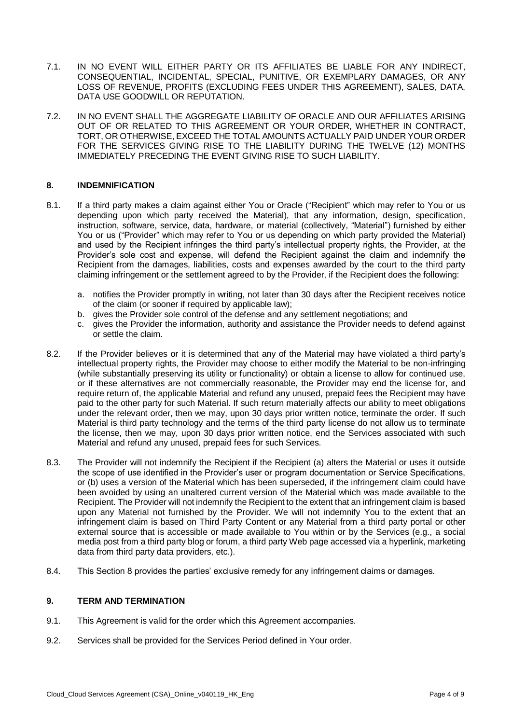- 7.1. IN NO EVENT WILL EITHER PARTY OR ITS AFFILIATES BE LIABLE FOR ANY INDIRECT, CONSEQUENTIAL, INCIDENTAL, SPECIAL, PUNITIVE, OR EXEMPLARY DAMAGES, OR ANY LOSS OF REVENUE, PROFITS (EXCLUDING FEES UNDER THIS AGREEMENT), SALES, DATA, DATA USE GOODWILL OR REPUTATION.
- 7.2. IN NO EVENT SHALL THE AGGREGATE LIABILITY OF ORACLE AND OUR AFFILIATES ARISING OUT OF OR RELATED TO THIS AGREEMENT OR YOUR ORDER, WHETHER IN CONTRACT, TORT, OR OTHERWISE, EXCEED THE TOTAL AMOUNTS ACTUALLY PAID UNDER YOUR ORDER FOR THE SERVICES GIVING RISE TO THE LIABILITY DURING THE TWELVE (12) MONTHS IMMEDIATELY PRECEDING THE EVENT GIVING RISE TO SUCH LIABILITY.

## **8. INDEMNIFICATION**

- 8.1. If a third party makes a claim against either You or Oracle ("Recipient" which may refer to You or us depending upon which party received the Material), that any information, design, specification, instruction, software, service, data, hardware, or material (collectively, "Material") furnished by either You or us ("Provider" which may refer to You or us depending on which party provided the Material) and used by the Recipient infringes the third party's intellectual property rights, the Provider, at the Provider's sole cost and expense, will defend the Recipient against the claim and indemnify the Recipient from the damages, liabilities, costs and expenses awarded by the court to the third party claiming infringement or the settlement agreed to by the Provider, if the Recipient does the following:
	- a. notifies the Provider promptly in writing, not later than 30 days after the Recipient receives notice of the claim (or sooner if required by applicable law);
	- b. gives the Provider sole control of the defense and any settlement negotiations; and
	- c. gives the Provider the information, authority and assistance the Provider needs to defend against or settle the claim.
- 8.2. If the Provider believes or it is determined that any of the Material may have violated a third party's intellectual property rights, the Provider may choose to either modify the Material to be non-infringing (while substantially preserving its utility or functionality) or obtain a license to allow for continued use, or if these alternatives are not commercially reasonable, the Provider may end the license for, and require return of, the applicable Material and refund any unused, prepaid fees the Recipient may have paid to the other party for such Material. If such return materially affects our ability to meet obligations under the relevant order, then we may, upon 30 days prior written notice, terminate the order. If such Material is third party technology and the terms of the third party license do not allow us to terminate the license, then we may, upon 30 days prior written notice, end the Services associated with such Material and refund any unused, prepaid fees for such Services.
- 8.3. The Provider will not indemnify the Recipient if the Recipient (a) alters the Material or uses it outside the scope of use identified in the Provider's user or program documentation or Service Specifications, or (b) uses a version of the Material which has been superseded, if the infringement claim could have been avoided by using an unaltered current version of the Material which was made available to the Recipient. The Provider will not indemnify the Recipient to the extent that an infringement claim is based upon any Material not furnished by the Provider. We will not indemnify You to the extent that an infringement claim is based on Third Party Content or any Material from a third party portal or other external source that is accessible or made available to You within or by the Services (e.g., a social media post from a third party blog or forum, a third party Web page accessed via a hyperlink, marketing data from third party data providers, etc.).
- 8.4. This Section 8 provides the parties' exclusive remedy for any infringement claims or damages.

#### **9. TERM AND TERMINATION**

- 9.1. This Agreement is valid for the order which this Agreement accompanies.
- 9.2. Services shall be provided for the Services Period defined in Your order.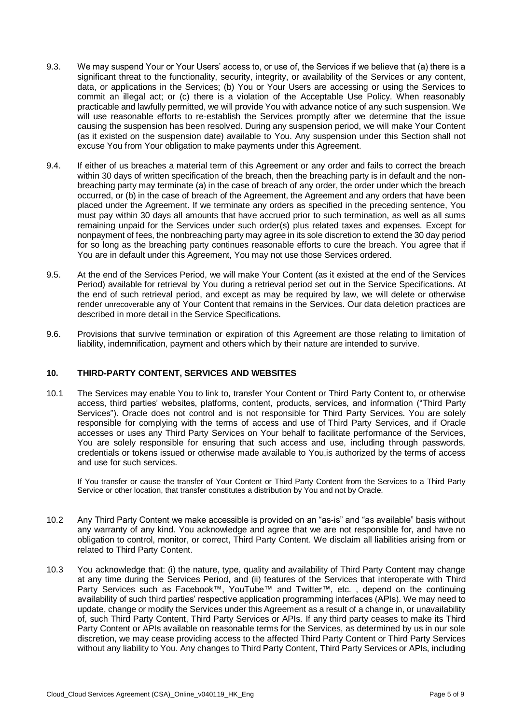- 9.3. We may suspend Your or Your Users' access to, or use of, the Services if we believe that (a) there is a significant threat to the functionality, security, integrity, or availability of the Services or any content, data, or applications in the Services; (b) You or Your Users are accessing or using the Services to commit an illegal act; or (c) there is a violation of the Acceptable Use Policy. When reasonably practicable and lawfully permitted, we will provide You with advance notice of any such suspension. We will use reasonable efforts to re-establish the Services promptly after we determine that the issue causing the suspension has been resolved. During any suspension period, we will make Your Content (as it existed on the suspension date) available to You. Any suspension under this Section shall not excuse You from Your obligation to make payments under this Agreement.
- 9.4. If either of us breaches a material term of this Agreement or any order and fails to correct the breach within 30 days of written specification of the breach, then the breaching party is in default and the nonbreaching party may terminate (a) in the case of breach of any order, the order under which the breach occurred, or (b) in the case of breach of the Agreement, the Agreement and any orders that have been placed under the Agreement. If we terminate any orders as specified in the preceding sentence, You must pay within 30 days all amounts that have accrued prior to such termination, as well as all sums remaining unpaid for the Services under such order(s) plus related taxes and expenses. Except for nonpayment of fees, the nonbreaching party may agree in its sole discretion to extend the 30 day period for so long as the breaching party continues reasonable efforts to cure the breach. You agree that if You are in default under this Agreement, You may not use those Services ordered.
- 9.5. At the end of the Services Period, we will make Your Content (as it existed at the end of the Services Period) available for retrieval by You during a retrieval period set out in the Service Specifications. At the end of such retrieval period, and except as may be required by law, we will delete or otherwise render unrecoverable any of Your Content that remains in the Services. Our data deletion practices are described in more detail in the Service Specifications.
- 9.6. Provisions that survive termination or expiration of this Agreement are those relating to limitation of liability, indemnification, payment and others which by their nature are intended to survive.

#### **10. THIRD-PARTY CONTENT, SERVICES AND WEBSITES**

10.1 The Services may enable You to link to, transfer Your Content or Third Party Content to, or otherwise access, third parties' websites, platforms, content, products, services, and information ("Third Party Services"). Oracle does not control and is not responsible for Third Party Services. You are solely responsible for complying with the terms of access and use of Third Party Services, and if Oracle accesses or uses any Third Party Services on Your behalf to facilitate performance of the Services, You are solely responsible for ensuring that such access and use, including through passwords, credentials or tokens issued or otherwise made available to You,is authorized by the terms of access and use for such services.

If You transfer or cause the transfer of Your Content or Third Party Content from the Services to a Third Party Service or other location, that transfer constitutes a distribution by You and not by Oracle.

- 10.2 Any Third Party Content we make accessible is provided on an "as-is" and "as available" basis without any warranty of any kind. You acknowledge and agree that we are not responsible for, and have no obligation to control, monitor, or correct, Third Party Content. We disclaim all liabilities arising from or related to Third Party Content.
- 10.3 You acknowledge that: (i) the nature, type, quality and availability of Third Party Content may change at any time during the Services Period, and (ii) features of the Services that interoperate with Third Party Services such as Facebook™, YouTube™ and Twitter™, etc. , depend on the continuing availability of such third parties' respective application programming interfaces (APIs). We may need to update, change or modify the Services under this Agreement as a result of a change in, or unavailability of, such Third Party Content, Third Party Services or APIs. If any third party ceases to make its Third Party Content or APIs available on reasonable terms for the Services, as determined by us in our sole discretion, we may cease providing access to the affected Third Party Content or Third Party Services without any liability to You. Any changes to Third Party Content, Third Party Services or APIs, including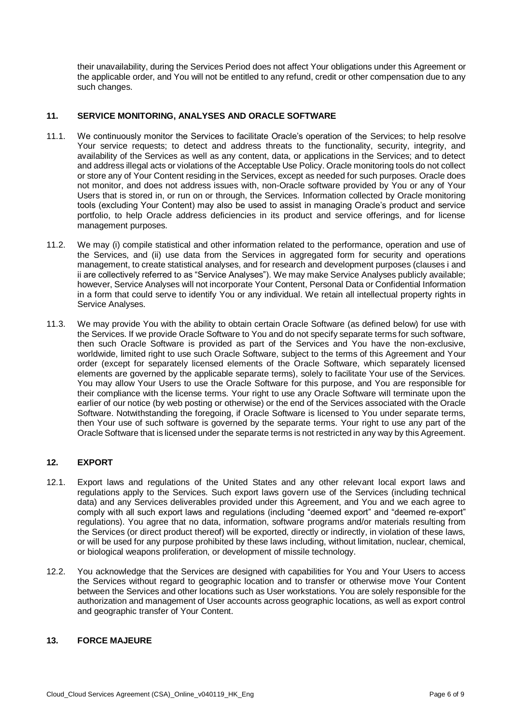their unavailability, during the Services Period does not affect Your obligations under this Agreement or the applicable order, and You will not be entitled to any refund, credit or other compensation due to any such changes.

# **11. SERVICE MONITORING, ANALYSES AND ORACLE SOFTWARE**

- 11.1. We continuously monitor the Services to facilitate Oracle's operation of the Services; to help resolve Your service requests; to detect and address threats to the functionality, security, integrity, and availability of the Services as well as any content, data, or applications in the Services; and to detect and address illegal acts or violations of the Acceptable Use Policy. Oracle monitoring tools do not collect or store any of Your Content residing in the Services, except as needed for such purposes. Oracle does not monitor, and does not address issues with, non-Oracle software provided by You or any of Your Users that is stored in, or run on or through, the Services. Information collected by Oracle monitoring tools (excluding Your Content) may also be used to assist in managing Oracle's product and service portfolio, to help Oracle address deficiencies in its product and service offerings, and for license management purposes.
- 11.2. We may (i) compile statistical and other information related to the performance, operation and use of the Services, and (ii) use data from the Services in aggregated form for security and operations management, to create statistical analyses, and for research and development purposes (clauses i and ii are collectively referred to as "Service Analyses"). We may make Service Analyses publicly available; however, Service Analyses will not incorporate Your Content, Personal Data or Confidential Information in a form that could serve to identify You or any individual. We retain all intellectual property rights in Service Analyses.
- 11.3. We may provide You with the ability to obtain certain Oracle Software (as defined below) for use with the Services. If we provide Oracle Software to You and do not specify separate terms for such software, then such Oracle Software is provided as part of the Services and You have the non-exclusive, worldwide, limited right to use such Oracle Software, subject to the terms of this Agreement and Your order (except for separately licensed elements of the Oracle Software, which separately licensed elements are governed by the applicable separate terms), solely to facilitate Your use of the Services. You may allow Your Users to use the Oracle Software for this purpose, and You are responsible for their compliance with the license terms. Your right to use any Oracle Software will terminate upon the earlier of our notice (by web posting or otherwise) or the end of the Services associated with the Oracle Software. Notwithstanding the foregoing, if Oracle Software is licensed to You under separate terms, then Your use of such software is governed by the separate terms. Your right to use any part of the Oracle Software that is licensed under the separate terms is not restricted in any way by this Agreement.

# **12. EXPORT**

- 12.1. Export laws and regulations of the United States and any other relevant local export laws and regulations apply to the Services. Such export laws govern use of the Services (including technical data) and any Services deliverables provided under this Agreement, and You and we each agree to comply with all such export laws and regulations (including "deemed export" and "deemed re-export" regulations). You agree that no data, information, software programs and/or materials resulting from the Services (or direct product thereof) will be exported, directly or indirectly, in violation of these laws, or will be used for any purpose prohibited by these laws including, without limitation, nuclear, chemical, or biological weapons proliferation, or development of missile technology.
- 12.2. You acknowledge that the Services are designed with capabilities for You and Your Users to access the Services without regard to geographic location and to transfer or otherwise move Your Content between the Services and other locations such as User workstations. You are solely responsible for the authorization and management of User accounts across geographic locations, as well as export control and geographic transfer of Your Content.

## **13. FORCE MAJEURE**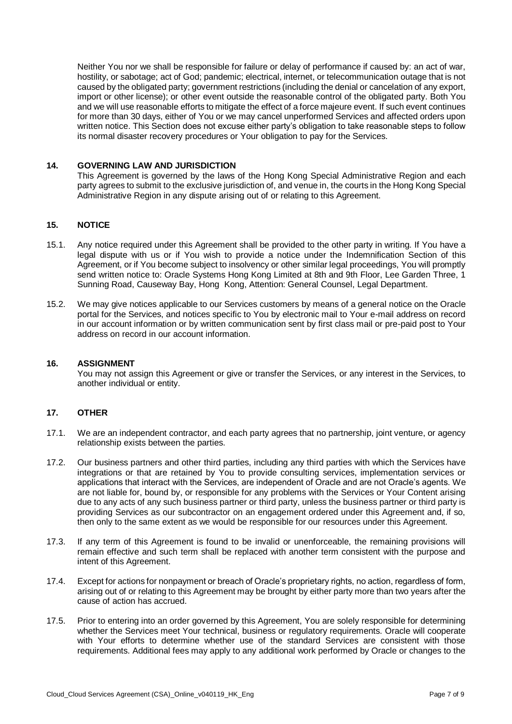Neither You nor we shall be responsible for failure or delay of performance if caused by: an act of war, hostility, or sabotage; act of God; pandemic; electrical, internet, or telecommunication outage that is not caused by the obligated party; government restrictions (including the denial or cancelation of any export, import or other license); or other event outside the reasonable control of the obligated party. Both You and we will use reasonable efforts to mitigate the effect of a force majeure event. If such event continues for more than 30 days, either of You or we may cancel unperformed Services and affected orders upon written notice. This Section does not excuse either party's obligation to take reasonable steps to follow its normal disaster recovery procedures or Your obligation to pay for the Services.

## **14. GOVERNING LAW AND JURISDICTION**

This Agreement is governed by the laws of the Hong Kong Special Administrative Region and each party agrees to submit to the exclusive jurisdiction of, and venue in, the courts in the Hong Kong Special Administrative Region in any dispute arising out of or relating to this Agreement.

## **15. NOTICE**

- 15.1. Any notice required under this Agreement shall be provided to the other party in writing. If You have a legal dispute with us or if You wish to provide a notice under the Indemnification Section of this Agreement, or if You become subject to insolvency or other similar legal proceedings, You will promptly send written notice to: Oracle Systems Hong Kong Limited at 8th and 9th Floor, Lee Garden Three, 1 Sunning Road, Causeway Bay, Hong Kong, Attention: General Counsel, Legal Department.
- 15.2. We may give notices applicable to our Services customers by means of a general notice on the Oracle portal for the Services, and notices specific to You by electronic mail to Your e-mail address on record in our account information or by written communication sent by first class mail or pre-paid post to Your address on record in our account information.

#### **16. ASSIGNMENT**

You may not assign this Agreement or give or transfer the Services, or any interest in the Services, to another individual or entity.

#### **17. OTHER**

- 17.1. We are an independent contractor, and each party agrees that no partnership, joint venture, or agency relationship exists between the parties.
- 17.2. Our business partners and other third parties, including any third parties with which the Services have integrations or that are retained by You to provide consulting services, implementation services or applications that interact with the Services, are independent of Oracle and are not Oracle's agents. We are not liable for, bound by, or responsible for any problems with the Services or Your Content arising due to any acts of any such business partner or third party, unless the business partner or third party is providing Services as our subcontractor on an engagement ordered under this Agreement and, if so, then only to the same extent as we would be responsible for our resources under this Agreement.
- 17.3. If any term of this Agreement is found to be invalid or unenforceable, the remaining provisions will remain effective and such term shall be replaced with another term consistent with the purpose and intent of this Agreement.
- 17.4. Except for actions for nonpayment or breach of Oracle's proprietary rights, no action, regardless of form, arising out of or relating to this Agreement may be brought by either party more than two years after the cause of action has accrued.
- 17.5. Prior to entering into an order governed by this Agreement, You are solely responsible for determining whether the Services meet Your technical, business or regulatory requirements. Oracle will cooperate with Your efforts to determine whether use of the standard Services are consistent with those requirements. Additional fees may apply to any additional work performed by Oracle or changes to the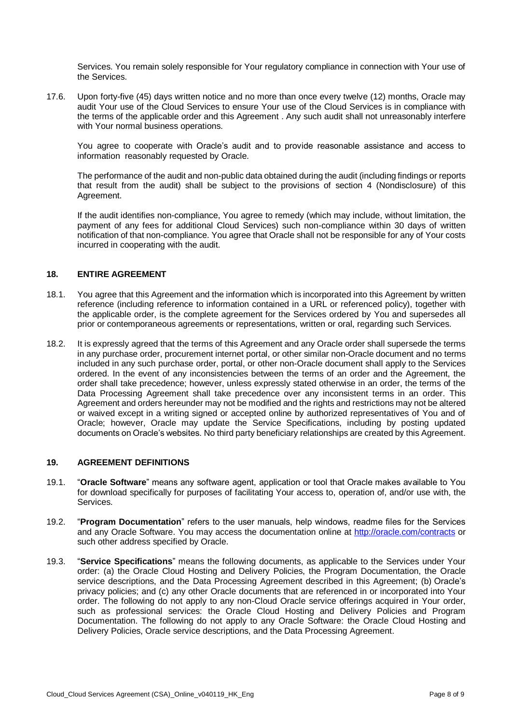Services. You remain solely responsible for Your regulatory compliance in connection with Your use of the Services.

17.6. Upon forty-five (45) days written notice and no more than once every twelve (12) months, Oracle may audit Your use of the Cloud Services to ensure Your use of the Cloud Services is in compliance with the terms of the applicable order and this Agreement . Any such audit shall not unreasonably interfere with Your normal business operations.

You agree to cooperate with Oracle's audit and to provide reasonable assistance and access to information reasonably requested by Oracle.

The performance of the audit and non-public data obtained during the audit (including findings or reports that result from the audit) shall be subject to the provisions of section 4 (Nondisclosure) of this Agreement.

If the audit identifies non-compliance, You agree to remedy (which may include, without limitation, the payment of any fees for additional Cloud Services) such non-compliance within 30 days of written notification of that non-compliance. You agree that Oracle shall not be responsible for any of Your costs incurred in cooperating with the audit.

## **18. ENTIRE AGREEMENT**

- 18.1. You agree that this Agreement and the information which is incorporated into this Agreement by written reference (including reference to information contained in a URL or referenced policy), together with the applicable order, is the complete agreement for the Services ordered by You and supersedes all prior or contemporaneous agreements or representations, written or oral, regarding such Services.
- 18.2. It is expressly agreed that the terms of this Agreement and any Oracle order shall supersede the terms in any purchase order, procurement internet portal, or other similar non-Oracle document and no terms included in any such purchase order, portal, or other non-Oracle document shall apply to the Services ordered. In the event of any inconsistencies between the terms of an order and the Agreement, the order shall take precedence; however, unless expressly stated otherwise in an order, the terms of the Data Processing Agreement shall take precedence over any inconsistent terms in an order. This Agreement and orders hereunder may not be modified and the rights and restrictions may not be altered or waived except in a writing signed or accepted online by authorized representatives of You and of Oracle; however, Oracle may update the Service Specifications, including by posting updated documents on Oracle's websites. No third party beneficiary relationships are created by this Agreement.

## **19. AGREEMENT DEFINITIONS**

- 19.1. "**Oracle Software**" means any software agent, application or tool that Oracle makes available to You for download specifically for purposes of facilitating Your access to, operation of, and/or use with, the Services.
- 19.2. "**Program Documentation**" refers to the user manuals, help windows, readme files for the Services and any Oracle Software. You may access the documentation online at<http://oracle.com/contracts> or such other address specified by Oracle.
- 19.3. "**Service Specifications**" means the following documents, as applicable to the Services under Your order: (a) the Oracle Cloud Hosting and Delivery Policies, the Program Documentation, the Oracle service descriptions, and the Data Processing Agreement described in this Agreement; (b) Oracle's privacy policies; and (c) any other Oracle documents that are referenced in or incorporated into Your order. The following do not apply to any non-Cloud Oracle service offerings acquired in Your order, such as professional services: the Oracle Cloud Hosting and Delivery Policies and Program Documentation. The following do not apply to any Oracle Software: the Oracle Cloud Hosting and Delivery Policies, Oracle service descriptions, and the Data Processing Agreement.